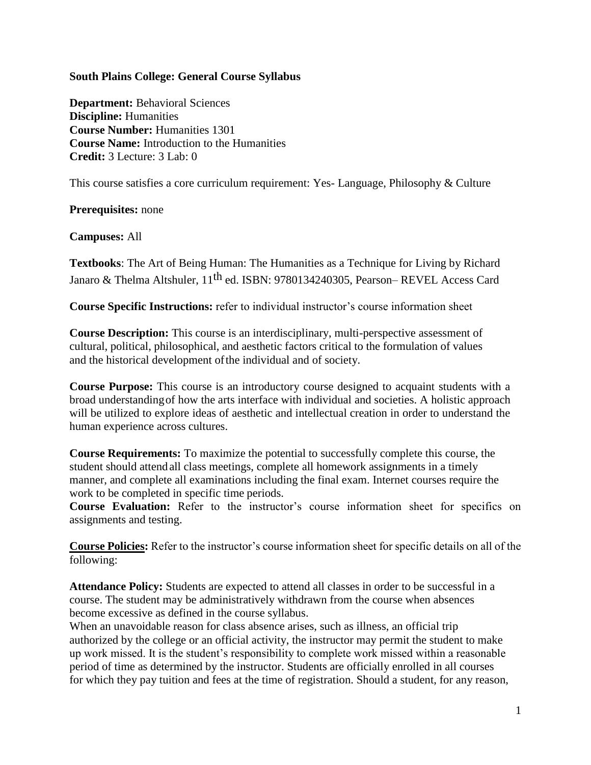#### **South Plains College: General Course Syllabus**

**Department:** Behavioral Sciences **Discipline:** Humanities **Course Number:** Humanities 1301 **Course Name:** Introduction to the Humanities **Credit:** 3 Lecture: 3 Lab: 0

This course satisfies a core curriculum requirement: Yes- Language, Philosophy & Culture

#### **Prerequisites:** none

#### **Campuses:** All

**Textbooks**: The Art of Being Human: The Humanities as a Technique for Living by Richard Janaro & Thelma Altshuler, 11th ed. ISBN: 9780134240305, Pearson– REVEL Access Card

**Course Specific Instructions:** refer to individual instructor's course information sheet

**Course Description:** This course is an interdisciplinary, multi-perspective assessment of cultural, political, philosophical, and aesthetic factors critical to the formulation of values and the historical development ofthe individual and of society.

**Course Purpose:** This course is an introductory course designed to acquaint students with a broad understandingof how the arts interface with individual and societies. A holistic approach will be utilized to explore ideas of aesthetic and intellectual creation in order to understand the human experience across cultures.

**Course Requirements:** To maximize the potential to successfully complete this course, the student should attendall class meetings, complete all homework assignments in a timely manner, and complete all examinations including the final exam. Internet courses require the work to be completed in specific time periods.

**Course Evaluation:** Refer to the instructor's course information sheet for specifics on assignments and testing.

**Course Policies:** Refer to the instructor's course information sheet for specific details on all of the following:

**Attendance Policy:** Students are expected to attend all classes in order to be successful in a course. The student may be administratively withdrawn from the course when absences become excessive as defined in the course syllabus.

When an unavoidable reason for class absence arises, such as illness, an official trip authorized by the college or an official activity, the instructor may permit the student to make up work missed. It is the student's responsibility to complete work missed within a reasonable period of time as determined by the instructor. Students are officially enrolled in all courses for which they pay tuition and fees at the time of registration. Should a student, for any reason,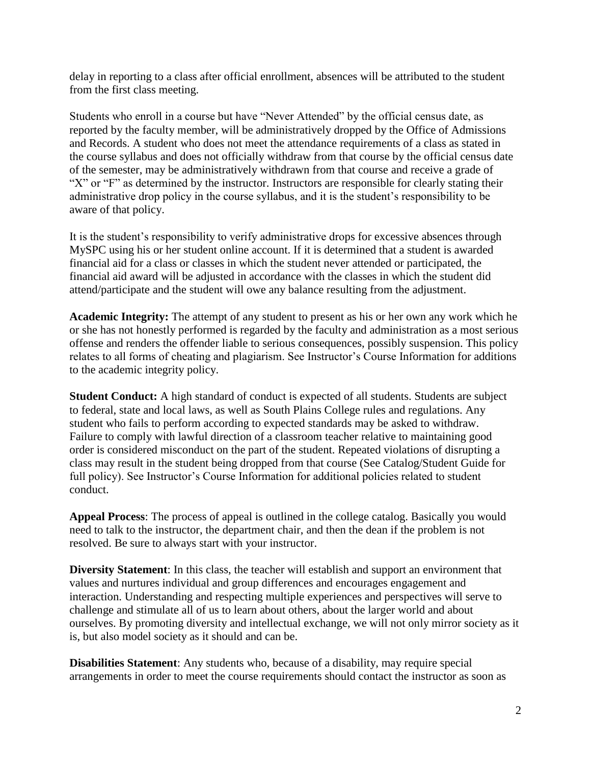delay in reporting to a class after official enrollment, absences will be attributed to the student from the first class meeting.

Students who enroll in a course but have "Never Attended" by the official census date, as reported by the faculty member, will be administratively dropped by the Office of Admissions and Records. A student who does not meet the attendance requirements of a class as stated in the course syllabus and does not officially withdraw from that course by the official census date of the semester, may be administratively withdrawn from that course and receive a grade of "X" or "F" as determined by the instructor. Instructors are responsible for clearly stating their administrative drop policy in the course syllabus, and it is the student's responsibility to be aware of that policy.

It is the student's responsibility to verify administrative drops for excessive absences through MySPC using his or her student online account. If it is determined that a student is awarded financial aid for a class or classes in which the student never attended or participated, the financial aid award will be adjusted in accordance with the classes in which the student did attend/participate and the student will owe any balance resulting from the adjustment.

**Academic Integrity:** The attempt of any student to present as his or her own any work which he or she has not honestly performed is regarded by the faculty and administration as a most serious offense and renders the offender liable to serious consequences, possibly suspension. This policy relates to all forms of cheating and plagiarism. See Instructor's Course Information for additions to the academic integrity policy.

**Student Conduct:** A high standard of conduct is expected of all students. Students are subject to federal, state and local laws, as well as South Plains College rules and regulations. Any student who fails to perform according to expected standards may be asked to withdraw. Failure to comply with lawful direction of a classroom teacher relative to maintaining good order is considered misconduct on the part of the student. Repeated violations of disrupting a class may result in the student being dropped from that course (See Catalog/Student Guide for full policy). See Instructor's Course Information for additional policies related to student conduct.

**Appeal Process**: The process of appeal is outlined in the college catalog. Basically you would need to talk to the instructor, the department chair, and then the dean if the problem is not resolved. Be sure to always start with your instructor.

**Diversity Statement**: In this class, the teacher will establish and support an environment that values and nurtures individual and group differences and encourages engagement and interaction. Understanding and respecting multiple experiences and perspectives will serve to challenge and stimulate all of us to learn about others, about the larger world and about ourselves. By promoting diversity and intellectual exchange, we will not only mirror society as it is, but also model society as it should and can be.

**Disabilities Statement**: Any students who, because of a disability, may require special arrangements in order to meet the course requirements should contact the instructor as soon as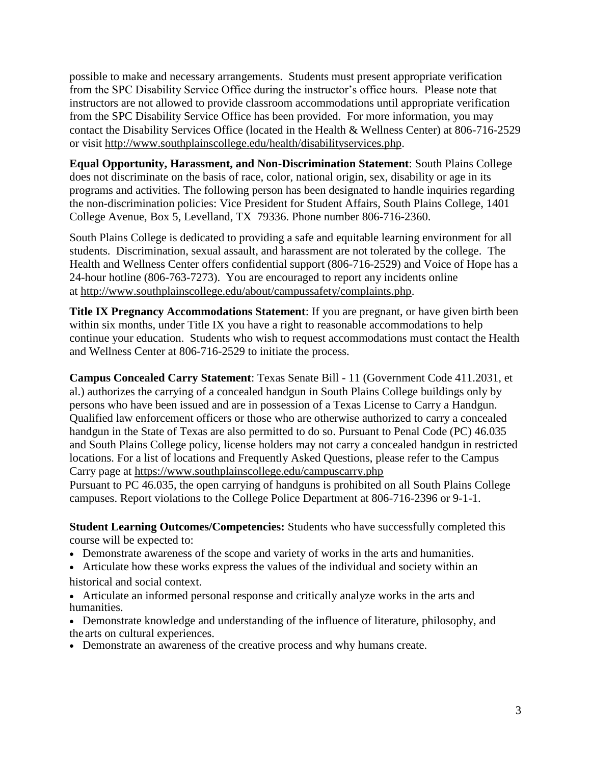possible to make and necessary arrangements. Students must present appropriate verification from the SPC Disability Service Office during the instructor's office hours. Please note that instructors are not allowed to provide classroom accommodations until appropriate verification from the SPC Disability Service Office has been provided. For more information, you may contact the Disability Services Office (located in the Health & Wellness Center) at 806-716-2529 or visit [http://www.southplainscollege.edu/health/disabilityservices.php.](http://www.southplainscollege.edu/health/disabilityservices.php)

**Equal Opportunity, Harassment, and Non-Discrimination Statement**: South Plains College does not discriminate on the basis of race, color, national origin, sex, disability or age in its programs and activities. The following person has been designated to handle inquiries regarding the non-discrimination policies: Vice President for Student Affairs, South Plains College, 1401 College Avenue, Box 5, Levelland, TX 79336. Phone number 806-716-2360.

South Plains College is dedicated to providing a safe and equitable learning environment for all students. Discrimination, sexual assault, and harassment are not tolerated by the college. The Health and Wellness Center offers confidential support (806-716-2529) and Voice of Hope has a 24-hour hotline (806-763-7273). You are encouraged to report any incidents online at [http://www.southplainscollege.edu/about/campussafety/complaints.php.](http://www.southplainscollege.edu/about/campussafety/complaints.php)

**Title IX Pregnancy Accommodations Statement**: If you are pregnant, or have given birth been within six months, under Title IX you have a right to reasonable accommodations to help continue your education. Students who wish to request accommodations must contact the Health and Wellness Center at 806-716-2529 to initiate the process.

**Campus Concealed Carry Statement**: Texas Senate Bill - 11 (Government Code 411.2031, et al.) authorizes the carrying of a concealed handgun in South Plains College buildings only by persons who have been issued and are in possession of a Texas License to Carry a Handgun. Qualified law enforcement officers or those who are otherwise authorized to carry a concealed handgun in the State of Texas are also permitted to do so. Pursuant to Penal Code (PC) 46.035 and South Plains College policy, license holders may not carry a concealed handgun in restricted locations. For a list of locations and Frequently Asked Questions, please refer to the Campus Carry page at [https://www.southplainscollege.edu/campuscarry.php](http://www.southplainscollege.edu/campuscarry.php)

Pursuant to PC 46.035, the open carrying of handguns is prohibited on all South Plains College campuses. Report violations to the College Police Department at 806-716-2396 or 9-1-1.

**Student Learning Outcomes/Competencies:** Students who have successfully completed this course will be expected to:

- Demonstrate awareness of the scope and variety of works in the arts and humanities.
- Articulate how these works express the values of the individual and society within an historical and social context.
- Articulate an informed personal response and critically analyze works in the arts and humanities.
- Demonstrate knowledge and understanding of the influence of literature, philosophy, and the arts on cultural experiences.
- Demonstrate an awareness of the creative process and why humans create.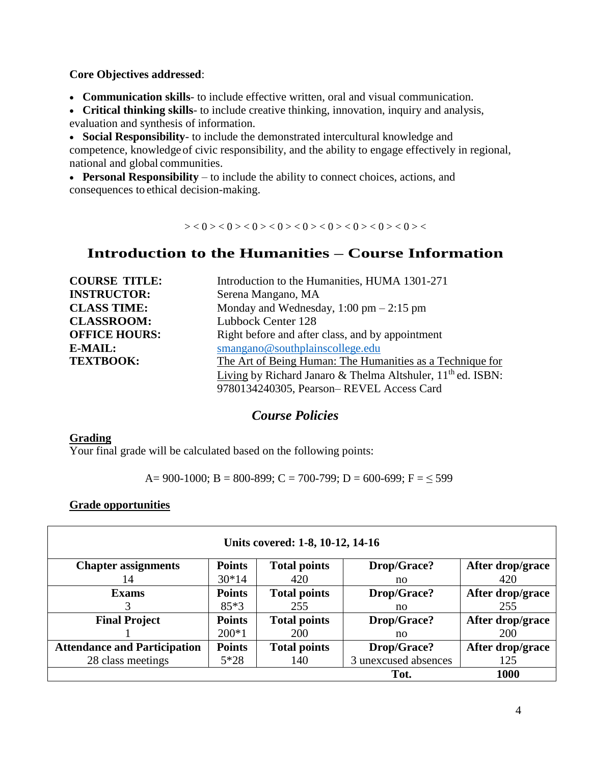**Core Objectives addressed**:

• **Communication skills**- to include effective written, oral and visual communication.

• **Critical thinking skills**- to include creative thinking, innovation, inquiry and analysis, evaluation and synthesis of information.

• **Social Responsibility**- to include the demonstrated intercultural knowledge and competence, knowledgeof civic responsibility, and the ability to engage effectively in regional, national and global communities.

• **Personal Responsibility** – to include the ability to connect choices, actions, and consequences to ethical decision-making.

 $> <0><0><0><0><0><0><0><0><0><0><0><0><0><0>$ 

# **Introduction to the Humanities – Course Information**

| <b>COURSE TITLE:</b> | Introduction to the Humanities, HUMA 1301-271                           |  |  |
|----------------------|-------------------------------------------------------------------------|--|--|
| <b>INSTRUCTOR:</b>   | Serena Mangano, MA                                                      |  |  |
| <b>CLASS TIME:</b>   | Monday and Wednesday, $1:00 \text{ pm} - 2:15 \text{ pm}$               |  |  |
| <b>CLASSROOM:</b>    | Lubbock Center 128                                                      |  |  |
| <b>OFFICE HOURS:</b> | Right before and after class, and by appointment                        |  |  |
| <b>E-MAIL:</b>       | smangano@southplainscollege.edu                                         |  |  |
| <b>TEXTBOOK:</b>     | The Art of Being Human: The Humanities as a Technique for               |  |  |
|                      | Living by Richard Janaro & Thelma Altshuler, 11 <sup>th</sup> ed. ISBN: |  |  |
|                      | 9780134240305, Pearson-REVEL Access Card                                |  |  |

## *Course Policies*

#### **Grading**

Your final grade will be calculated based on the following points:

A= 900-1000; B = 800-899; C = 700-799; D = 600-699; F =  $\leq$  599

#### **Grade opportunities**

| Units covered: 1-8, 10-12, 14-16    |               |                     |                      |                  |  |  |
|-------------------------------------|---------------|---------------------|----------------------|------------------|--|--|
| <b>Chapter assignments</b>          | <b>Points</b> | <b>Total points</b> | Drop/Grace?          | After drop/grace |  |  |
| 14                                  | $30*14$       | 420                 | no.                  | 420              |  |  |
| <b>Exams</b>                        | <b>Points</b> | <b>Total points</b> | <b>Drop/Grace?</b>   | After drop/grace |  |  |
|                                     | $85*3$        | 255                 | no                   | 255              |  |  |
| <b>Final Project</b>                | <b>Points</b> | <b>Total points</b> | Drop/Grace?          | After drop/grace |  |  |
|                                     | $200*1$       | 200                 | no                   | 200              |  |  |
| <b>Attendance and Participation</b> | <b>Points</b> | <b>Total points</b> | Drop/Grace?          | After drop/grace |  |  |
| 28 class meetings                   | $5*28$        | 140                 | 3 unexcused absences | 125              |  |  |
|                                     |               |                     | Tot.                 | <b>1000</b>      |  |  |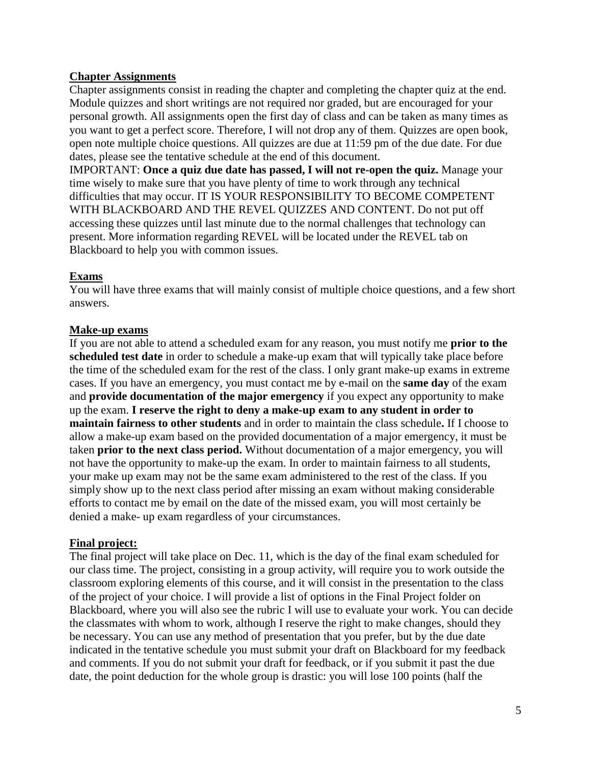### **Chapter Assignments**

Chapter assignments consist in reading the chapter and completing the chapter quiz at the end. Module quizzes and short writings are not required nor graded, but are encouraged for your personal growth. All assignments open the first day of class and can be taken as many times as you want to get a perfect score. Therefore, I will not drop any of them. Quizzes are open book, open note multiple choice questions. All quizzes are due at 11:59 pm of the due date. For due dates, please see the tentative schedule at the end of this document.

IMPORTANT: **Once a quiz due date has passed, I will not re-open the quiz.** Manage your time wisely to make sure that you have plenty of time to work through any technical difficulties that may occur. IT IS YOUR RESPONSIBILITY TO BECOME COMPETENT WITH BLACKBOARD AND THE REVEL QUIZZES AND CONTENT. Do not put off accessing these quizzes until last minute due to the normal challenges that technology can present. More information regarding REVEL will be located under the REVEL tab on Blackboard to help you with common issues.

#### **Exams**

You will have three exams that will mainly consist of multiple choice questions, and a few short answers.

#### **Make-up exams**

If you are not able to attend a scheduled exam for any reason, you must notify me **prior to the scheduled test date** in order to schedule a make-up exam that will typically take place before the time of the scheduled exam for the rest of the class. I only grant make-up exams in extreme cases. If you have an emergency, you must contact me by e-mail on the **same day** of the exam and **provide documentation of the major emergency** if you expect any opportunity to make up the exam. **I reserve the right to deny a make-up exam to any student in order to maintain fairness to other students** and in order to maintain the class schedule**.** If I choose to allow a make-up exam based on the provided documentation of a major emergency, it must be taken **prior to the next class period.** Without documentation of a major emergency, you will not have the opportunity to make-up the exam. In order to maintain fairness to all students, your make up exam may not be the same exam administered to the rest of the class. If you simply show up to the next class period after missing an exam without making considerable efforts to contact me by email on the date of the missed exam, you will most certainly be denied a make- up exam regardless of your circumstances.

#### **Final project:**

The final project will take place on Dec. 11, which is the day of the final exam scheduled for our class time. The project, consisting in a group activity, will require you to work outside the classroom exploring elements of this course, and it will consist in the presentation to the class of the project of your choice. I will provide a list of options in the Final Project folder on Blackboard, where you will also see the rubric I will use to evaluate your work. You can decide the classmates with whom to work, although I reserve the right to make changes, should they be necessary. You can use any method of presentation that you prefer, but by the due date indicated in the tentative schedule you must submit your draft on Blackboard for my feedback and comments. If you do not submit your draft for feedback, or if you submit it past the due date, the point deduction for the whole group is drastic: you will lose 100 points (half the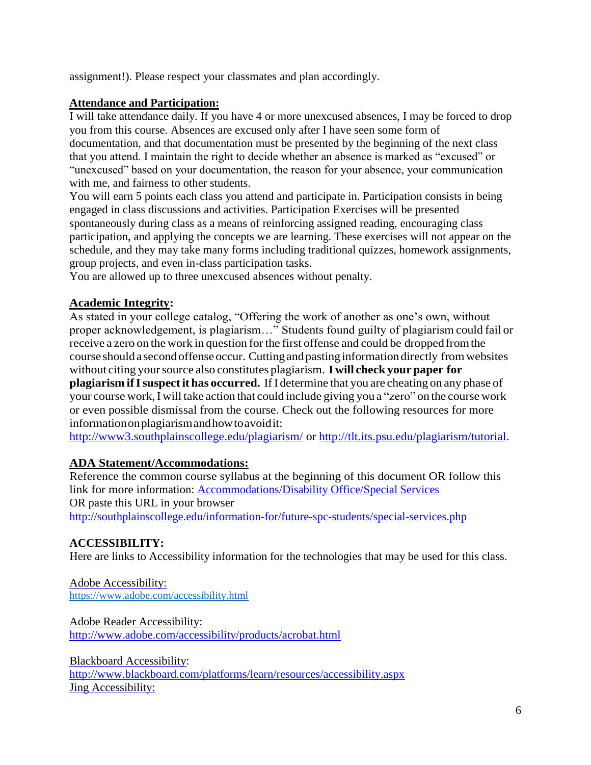assignment!). Please respect your classmates and plan accordingly.

## **Attendance and Participation:**

I will take attendance daily. If you have 4 or more unexcused absences, I may be forced to drop you from this course. Absences are excused only after I have seen some form of documentation, and that documentation must be presented by the beginning of the next class that you attend. I maintain the right to decide whether an absence is marked as "excused" or "unexcused" based on your documentation, the reason for your absence, your communication with me, and fairness to other students.

You will earn 5 points each class you attend and participate in. Participation consists in being engaged in class discussions and activities. Participation Exercises will be presented spontaneously during class as a means of reinforcing assigned reading, encouraging class participation, and applying the concepts we are learning. These exercises will not appear on the schedule, and they may take many forms including traditional quizzes, homework assignments, group projects, and even in-class participation tasks.

You are allowed up to three unexcused absences without penalty.

## **Academic Integrity:**

As stated in your college catalog, "Offering the work of another as one's own, without proper acknowledgement, is plagiarism…" Students found guilty of plagiarism could fail or receive a zero on the work in question forthe first offense and could be droppedfromthe course shoulda secondoffenseoccur. Cuttingandpastinginformationdirectly fromwebsites without citing yoursource also constitutes plagiarism. **I will check yourpaper for plagiarism ifIsuspectit has occurred.** IfI determine that you are cheating on any phase of your course work,Iwill take action that could include giving you a "zero" on the course work or even possible dismissal from the course. Check out the following resources for more informationonplagiarismandhowtoavoidit:

<http://www3.southplainscollege.edu/plagiarism/> or [http://tlt.its.psu.edu/plagiarism/tutorial.](http://tlt.its.psu.edu/plagiarism/tutorial)

## **ADA Statement/Accommodations:**

Reference the common course syllabus at the beginning of this document OR follow this link for more information: [Accommodations/Disability Office/Special](http://southplainscollege.edu/information-for/future-spc-students/special-services.php) Services OR paste this URL in your browser <http://southplainscollege.edu/information-for/future-spc-students/special-services.php>

## **ACCESSIBILITY:**

Here are links to Accessibility information for the technologies that may be used for this class.

[Adobe Accessibility:](http://www.adobe.com/accessibility.html) <https://www.adobe.com/accessibility.html>

[Adobe Reader Accessibility:](http://www.adobe.com/accessibility/products/acrobat.html) <http://www.adobe.com/accessibility/products/acrobat.html>

[Blackboard Accessibility:](http://www.blackboard.com/platforms/learn/resources/accessibility.aspx) <http://www.blackboard.com/platforms/learn/resources/accessibility.aspx> [Jing Accessibility:](https://www.techsmith.com/accessibility.html)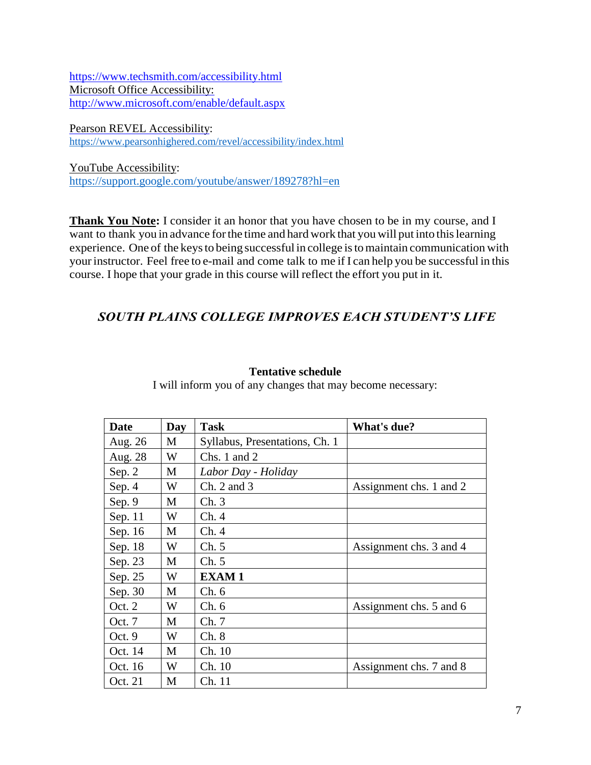<https://www.techsmith.com/accessibility.html> [Microsoft Office Accessibility:](http://www.microsoft.com/enable/default.aspx) <http://www.microsoft.com/enable/default.aspx>

[Pearson REVEL Accessibility:](https://www.pearsonhighered.com/revel/accessibility/index.html) <https://www.pearsonhighered.com/revel/accessibility/index.html>

[YouTube Accessibility:](file:///C:/Users/seren/Desktop/YouTube%20Accessibility) <https://support.google.com/youtube/answer/189278?hl=en>

**Thank You Note:** I consider it an honor that you have chosen to be in my course, and I want to thank you in advance forthe time and hard work that you will put into thislearning experience. One of the keysto being successful in college istomaintain communication with yourinstructor. Feel free to e-mail and come talk to me if I can help you be successful in this course. I hope that your grade in this course will reflect the effort you put in it.

## *SOUTH PLAINS COLLEGE IMPROVES EACH STUDENT'S LIFE*

I will inform you of any changes that may become necessary:

| <b>Date</b> | Day | <b>Task</b>                    | What's due?             |
|-------------|-----|--------------------------------|-------------------------|
| Aug. 26     | M   | Syllabus, Presentations, Ch. 1 |                         |
| Aug. 28     | W   | Chs. 1 and $2$                 |                         |
| Sep. $2$    | M   | Labor Day - Holiday            |                         |
| Sep. 4      | W   | $Ch. 2$ and 3                  | Assignment chs. 1 and 2 |
| Sep. 9      | M   | Ch.3                           |                         |
| Sep. 11     | W   | Ch.4                           |                         |
| Sep. 16     | M   | Ch.4                           |                         |
| Sep. 18     | W   | Ch. 5                          | Assignment chs. 3 and 4 |
| Sep. 23     | M   | Ch. 5                          |                         |
| Sep. 25     | W   | <b>EXAM1</b>                   |                         |
| Sep. 30     | M   | Ch. 6                          |                         |
| Oct. 2      | W   | Ch. 6                          | Assignment chs. 5 and 6 |
| Oct. $7$    | M   | Ch.7                           |                         |
| Oct. 9      | W   | Ch.8                           |                         |
| Oct. 14     | M   | Ch. 10                         |                         |
| Oct. 16     | W   | Ch. 10                         | Assignment chs. 7 and 8 |
| Oct. 21     | M   | Ch. 11                         |                         |